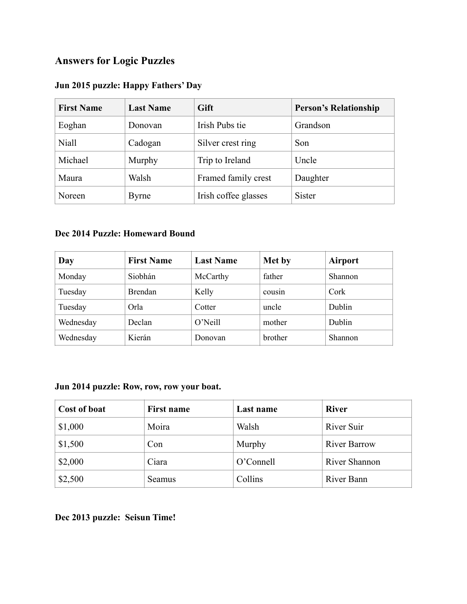# **Answers for Logic Puzzles**

| <b>First Name</b> | <b>Last Name</b> | Gift                 | <b>Person's Relationship</b> |
|-------------------|------------------|----------------------|------------------------------|
| Eoghan            | Donovan          | Irish Pubs tie       | Grandson                     |
| <b>Niall</b>      | Cadogan          | Silver crest ring    | Son                          |
| Michael           | Murphy           | Trip to Ireland      | Uncle                        |
| Maura             | Walsh            | Framed family crest  | Daughter                     |
| Noreen            | Byrne            | Irish coffee glasses | <b>Sister</b>                |

### **Jun 2015 puzzle: Happy Fathers' Day**

#### **Dec 2014 Puzzle: Homeward Bound**

| Day       | <b>First Name</b> | <b>Last Name</b> | Met by  | <b>Airport</b> |
|-----------|-------------------|------------------|---------|----------------|
| Monday    | Siobhán           | McCarthy         | father  | <b>Shannon</b> |
| Tuesday   | Brendan           | Kelly            | cousin  | Cork           |
| Tuesday   | Orla              | Cotter           | uncle   | Dublin         |
| Wednesday | Declan            | O'Neill          | mother  | Dublin         |
| Wednesday | Kierán            | Donovan          | brother | <b>Shannon</b> |

#### **Jun 2014 puzzle: Row, row, row your boat.**

| Cost of boat | <b>First name</b> | Last name | <b>River</b>        |
|--------------|-------------------|-----------|---------------------|
| \$1,000      | Moira             | Walsh     | <b>River Suir</b>   |
| \$1,500      | Con               | Murphy    | <b>River Barrow</b> |
| \$2,000      | Ciara             | O'Connell | River Shannon       |
| \$2,500      | Seamus            | Collins   | River Bann          |

**Dec 2013 puzzle: Seisun Time!**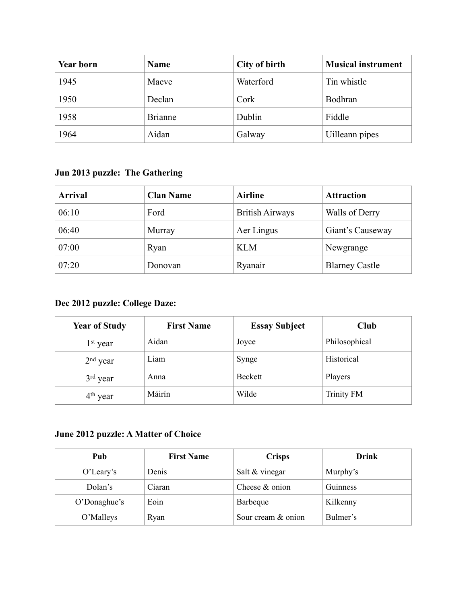| <b>Year born</b> | <b>Name</b>    | City of birth | <b>Musical instrument</b> |
|------------------|----------------|---------------|---------------------------|
| 1945             | Maeve          | Waterford     | Tin whistle               |
| 1950             | Declan         | Cork          | Bodhran                   |
| 1958             | <b>Brianne</b> | Dublin        | Fiddle                    |
| 1964             | Aidan          | Galway        | Uilleann pipes            |

### **Jun 2013 puzzle: The Gathering**

| <b>Arrival</b> | <b>Clan Name</b> | <b>Airline</b>         | <b>Attraction</b>     |
|----------------|------------------|------------------------|-----------------------|
| 06:10          | Ford             | <b>British Airways</b> | Walls of Derry        |
| 06:40          | Murray           | Aer Lingus             | Giant's Causeway      |
| 07:00          | Ryan             | <b>KLM</b>             | Newgrange             |
| 07:20          | Donovan          | Ryanair                | <b>Blarney Castle</b> |

## **Dec 2012 puzzle: College Daze:**

| <b>Year of Study</b> | <b>First Name</b> | <b>Essay Subject</b> | Club              |
|----------------------|-------------------|----------------------|-------------------|
| 1 <sup>st</sup> year | Aidan             | Joyce                | Philosophical     |
| $2nd$ year           | Liam              | Synge                | Historical        |
| $3rd$ year           | Anna              | Beckett              | Players           |
| 4 <sup>th</sup> year | Máirín            | Wilde                | <b>Trinity FM</b> |

## **June 2012 puzzle: A Matter of Choice**

| Pub          | <b>First Name</b> | <b>Crisps</b>      | Drink    |
|--------------|-------------------|--------------------|----------|
| $O'$ Leary's | Denis             | Salt & vinegar     | Murphy's |
| Dolan's      | Ciaran            | Cheese $&$ onion   | Guinness |
| O'Donaghue's | Eoin              | Barbeque           | Kilkenny |
| O'Malleys    | Ryan              | Sour cream & onion | Bulmer's |